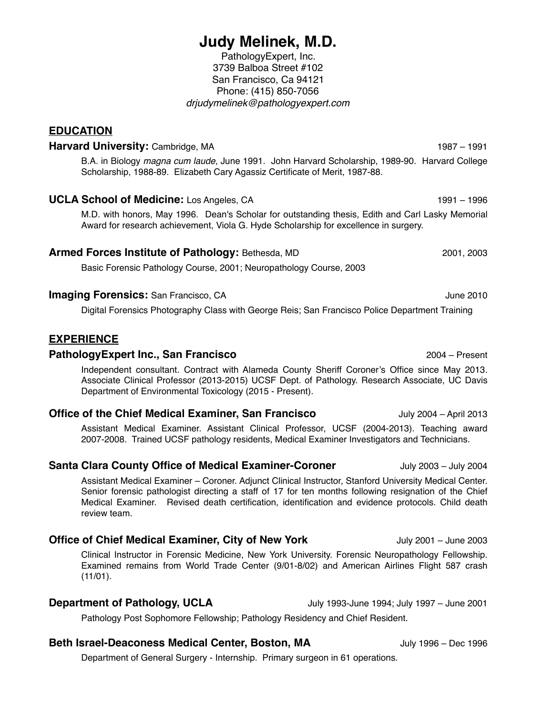# **Judy Melinek, M.D.**

PathologyExpert, Inc. 3739 Balboa Street #102 San Francisco, Ca 94121 Phone: (415) 850-7056 *drjudymelinek@pathologyexpert.com*

**EDUCATION**

## **Harvard University:** Cambridge, MA 1987 – 1991

B.A. in Biology *magna cum laude*, June 1991. John Harvard Scholarship, 1989-90. Harvard College Scholarship, 1988-89. Elizabeth Cary Agassiz Certificate of Merit, 1987-88.

### **UCLA School of Medicine:** Los Angeles, CA 1991 – 1996 1991 – 1996

M.D. with honors, May 1996. Dean's Scholar for outstanding thesis, Edith and Carl Lasky Memorial Award for research achievement, Viola G. Hyde Scholarship for excellence in surgery.

### **Armed Forces Institute of Pathology:** Bethesda, MD 2001, 2001, 2003

Basic Forensic Pathology Course, 2001; Neuropathology Course, 2003

### **Imaging Forensics:** San Francisco, CA **Canadian Control 1999** June 2010

Digital Forensics Photography Class with George Reis; San Francisco Police Department Training

### **EXPERIENCE**

### **PathologyExpert Inc., San Francisco** 2004 – Present

Independent consultant. Contract with Alameda County Sheriff Coroner's Office since May 2013. Associate Clinical Professor (2013-2015) UCSF Dept. of Pathology. Research Associate, UC Davis Department of Environmental Toxicology (2015 - Present).

### **Office of the Chief Medical Examiner, San Francisco** July 2004 – April 2013

Assistant Medical Examiner. Assistant Clinical Professor, UCSF (2004-2013). Teaching award 2007-2008. Trained UCSF pathology residents, Medical Examiner Investigators and Technicians.

### **Santa Clara County Office of Medical Examiner-Coroner** July 2003 – July 2004

Assistant Medical Examiner – Coroner. Adjunct Clinical Instructor, Stanford University Medical Center. Senior forensic pathologist directing a staff of 17 for ten months following resignation of the Chief Medical Examiner. Revised death certification, identification and evidence protocols. Child death review team.

### **Office of Chief Medical Examiner, City of New York** July 2001 – June 2003

Clinical Instructor in Forensic Medicine, New York University. Forensic Neuropathology Fellowship. Examined remains from World Trade Center (9/01-8/02) and American Airlines Flight 587 crash (11/01).

### **Department of Pathology, UCLA** July 1993-June 1994; July 1997 – June 2001

Pathology Post Sophomore Fellowship; Pathology Residency and Chief Resident.

### **Beth Israel-Deaconess Medical Center, Boston, MA** July 1996 – Dec 1996

Department of General Surgery - Internship. Primary surgeon in 61 operations.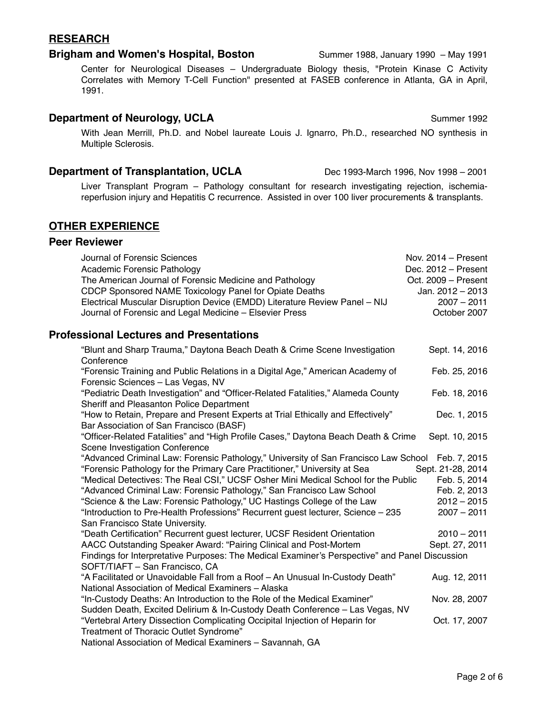# **RESEARCH**

## **Brigham and Women's Hospital, Boston** Summer 1988, January 1990 – May 1991

Center for Neurological Diseases – Undergraduate Biology thesis, "Protein Kinase C Activity Correlates with Memory T-Cell Function" presented at FASEB conference in Atlanta, GA in April, 1991.

# **Department of Neurology, UCLA** Summer 1992

With Jean Merrill, Ph.D. and Nobel laureate Louis J. Ignarro, Ph.D., researched NO synthesis in Multiple Sclerosis.

# **Department of Transplantation, UCLA** Dec 1993-March 1996, Nov 1998 – 2001

Liver Transplant Program – Pathology consultant for research investigating rejection, ischemiareperfusion injury and Hepatitis C recurrence. Assisted in over 100 liver procurements & transplants.

# **OTHER EXPERIENCE**

# **Peer Reviewer**

| Journal of Forensic Sciences<br>Academic Forensic Pathology<br>The American Journal of Forensic Medicine and Pathology<br>CDCP Sponsored NAME Toxicology Panel for Opiate Deaths<br>Electrical Muscular Disruption Device (EMDD) Literature Review Panel - NIJ<br>Journal of Forensic and Legal Medicine - Elsevier Press                                                                                                                                                                                                                     | Nov. $2014 -$ Present<br>Dec. 2012 - Present<br>Oct. 2009 - Present<br>Jan. 2012 - 2013<br>$2007 - 2011$<br>October 2007 |
|-----------------------------------------------------------------------------------------------------------------------------------------------------------------------------------------------------------------------------------------------------------------------------------------------------------------------------------------------------------------------------------------------------------------------------------------------------------------------------------------------------------------------------------------------|--------------------------------------------------------------------------------------------------------------------------|
| <b>Professional Lectures and Presentations</b>                                                                                                                                                                                                                                                                                                                                                                                                                                                                                                |                                                                                                                          |
| "Blunt and Sharp Trauma," Daytona Beach Death & Crime Scene Investigation<br>Conference                                                                                                                                                                                                                                                                                                                                                                                                                                                       | Sept. 14, 2016                                                                                                           |
| "Forensic Training and Public Relations in a Digital Age," American Academy of<br>Forensic Sciences - Las Vegas, NV                                                                                                                                                                                                                                                                                                                                                                                                                           | Feb. 25, 2016                                                                                                            |
| "Pediatric Death Investigation" and "Officer-Related Fatalities," Alameda County<br>Sheriff and Pleasanton Police Department                                                                                                                                                                                                                                                                                                                                                                                                                  | Feb. 18, 2016                                                                                                            |
| "How to Retain, Prepare and Present Experts at Trial Ethically and Effectively"<br>Bar Association of San Francisco (BASF)                                                                                                                                                                                                                                                                                                                                                                                                                    | Dec. 1, 2015                                                                                                             |
| "Officer-Related Fatalities" and "High Profile Cases," Daytona Beach Death & Crime<br>Scene Investigation Conference                                                                                                                                                                                                                                                                                                                                                                                                                          | Sept. 10, 2015                                                                                                           |
| "Advanced Criminal Law: Forensic Pathology," University of San Francisco Law School Feb. 7, 2015<br>"Forensic Pathology for the Primary Care Practitioner," University at Sea<br>"Medical Detectives: The Real CSI," UCSF Osher Mini Medical School for the Public<br>"Advanced Criminal Law: Forensic Pathology," San Francisco Law School<br>"Science & the Law: Forensic Pathology," UC Hastings College of the Law<br>"Introduction to Pre-Health Professions" Recurrent guest lecturer, Science - 235<br>San Francisco State University. | Sept. 21-28, 2014<br>Feb. 5, 2014<br>Feb. 2, 2013<br>$2012 - 2015$<br>$2007 - 2011$                                      |
| "Death Certification" Recurrent guest lecturer, UCSF Resident Orientation<br>AACC Outstanding Speaker Award: "Pairing Clinical and Post-Mortem<br>Findings for Interpretative Purposes: The Medical Examiner's Perspective" and Panel Discussion<br>SOFT/TIAFT - San Francisco, CA                                                                                                                                                                                                                                                            | $2010 - 2011$<br>Sept. 27, 2011                                                                                          |
| "A Facilitated or Unavoidable Fall from a Roof - An Unusual In-Custody Death"<br>National Association of Medical Examiners - Alaska                                                                                                                                                                                                                                                                                                                                                                                                           | Aug. 12, 2011                                                                                                            |
| "In-Custody Deaths: An Introduction to the Role of the Medical Examiner"<br>Sudden Death, Excited Delirium & In-Custody Death Conference - Las Vegas, NV                                                                                                                                                                                                                                                                                                                                                                                      | Nov. 28, 2007                                                                                                            |
| "Vertebral Artery Dissection Complicating Occipital Injection of Heparin for<br>Treatment of Thoracic Outlet Syndrome"                                                                                                                                                                                                                                                                                                                                                                                                                        | Oct. 17, 2007                                                                                                            |
| National Association of Medical Examiners - Savannah, GA                                                                                                                                                                                                                                                                                                                                                                                                                                                                                      |                                                                                                                          |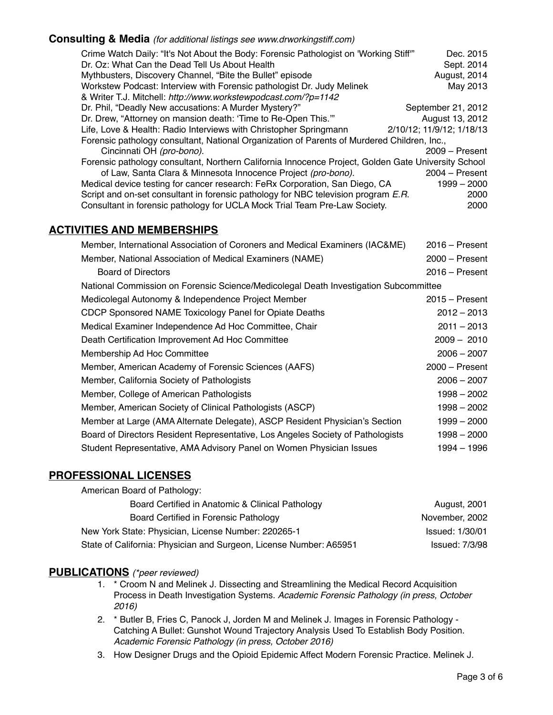### **Consulting & Media** *(for additional listings see www.drworkingstiff.com)*

| Crime Watch Daily: "It's Not About the Body: Forensic Pathologist on 'Working Stiff'"               | Dec. 2015                 |  |
|-----------------------------------------------------------------------------------------------------|---------------------------|--|
| Dr. Oz: What Can the Dead Tell Us About Health                                                      | Sept. 2014                |  |
| Mythbusters, Discovery Channel, "Bite the Bullet" episode                                           | August, 2014              |  |
| Workstew Podcast: Interview with Forensic pathologist Dr. Judy Melinek                              | May 2013                  |  |
| & Writer T.J. Mitchell: http://www.workstewpodcast.com/?p=1142                                      |                           |  |
| Dr. Phil, "Deadly New accusations: A Murder Mystery?"                                               | September 21, 2012        |  |
| Dr. Drew, "Attorney on mansion death: 'Time to Re-Open This.""                                      | August 13, 2012           |  |
| Life, Love & Health: Radio Interviews with Christopher Springmann                                   | 2/10/12; 11/9/12; 1/18/13 |  |
| Forensic pathology consultant, National Organization of Parents of Murdered Children, Inc.,         |                           |  |
| Cincinnati OH (pro-bono).                                                                           | $2009 -$ Present          |  |
| Forensic pathology consultant, Northern California Innocence Project, Golden Gate University School |                           |  |
| of Law, Santa Clara & Minnesota Innocence Project (pro-bono).                                       | $2004 - Present$          |  |
| Medical device testing for cancer research: FeRx Corporation, San Diego, CA                         | 1999 - 2000               |  |
| Script and on-set consultant in forensic pathology for NBC television program E.R.                  | 2000                      |  |
| Consultant in forensic pathology for UCLA Mock Trial Team Pre-Law Society.                          | 2000                      |  |

### **ACTIVITIES AND MEMBERSHIPS**

| Member, International Association of Coroners and Medical Examiners (IAC&ME)         | $2016 -$ Present |  |
|--------------------------------------------------------------------------------------|------------------|--|
| Member, National Association of Medical Examiners (NAME)                             | $2000 -$ Present |  |
| <b>Board of Directors</b>                                                            | $2016 -$ Present |  |
| National Commission on Forensic Science/Medicolegal Death Investigation Subcommittee |                  |  |
| Medicolegal Autonomy & Independence Project Member                                   | $2015 -$ Present |  |
| CDCP Sponsored NAME Toxicology Panel for Opiate Deaths                               | $2012 - 2013$    |  |
| Medical Examiner Independence Ad Hoc Committee, Chair                                | $2011 - 2013$    |  |
| Death Certification Improvement Ad Hoc Committee                                     | $2009 - 2010$    |  |
| Membership Ad Hoc Committee                                                          | $2006 - 2007$    |  |
| Member, American Academy of Forensic Sciences (AAFS)                                 | $2000 -$ Present |  |
| Member, California Society of Pathologists                                           | $2006 - 2007$    |  |
| Member, College of American Pathologists                                             | 1998 - 2002      |  |
| Member, American Society of Clinical Pathologists (ASCP)                             | 1998 - 2002      |  |
| Member at Large (AMA Alternate Delegate), ASCP Resident Physician's Section          | 1999 - 2000      |  |
| Board of Directors Resident Representative, Los Angeles Society of Pathologists      | $1998 - 2000$    |  |
| Student Representative, AMA Advisory Panel on Women Physician Issues                 | 1994 - 1996      |  |

### **PROFESSIONAL LICENSES**

| American Board of Pathology:                                       |                        |
|--------------------------------------------------------------------|------------------------|
| Board Certified in Anatomic & Clinical Pathology                   | <b>August, 2001</b>    |
| Board Certified in Forensic Pathology                              | November, 2002         |
| New York State: Physician, License Number: 220265-1                | <b>Issued: 1/30/01</b> |
| State of California: Physician and Surgeon, License Number: A65951 | <b>Issued: 7/3/98</b>  |

#### **PUBLICATIONS** *(\*peer reviewed)*

- 1. \* Croom N and Melinek J. Dissecting and Streamlining the Medical Record Acquisition Process in Death Investigation Systems. *Academic Forensic Pathology (in press, October 2016)*
- 2. \* Butler B, Fries C, Panock J, Jorden M and Melinek J. Images in Forensic Pathology Catching A Bullet: Gunshot Wound Trajectory Analysis Used To Establish Body Position. *Academic Forensic Pathology (in press, October 2016)*
- 3. How Designer Drugs and the Opioid Epidemic Affect Modern Forensic Practice. Melinek J.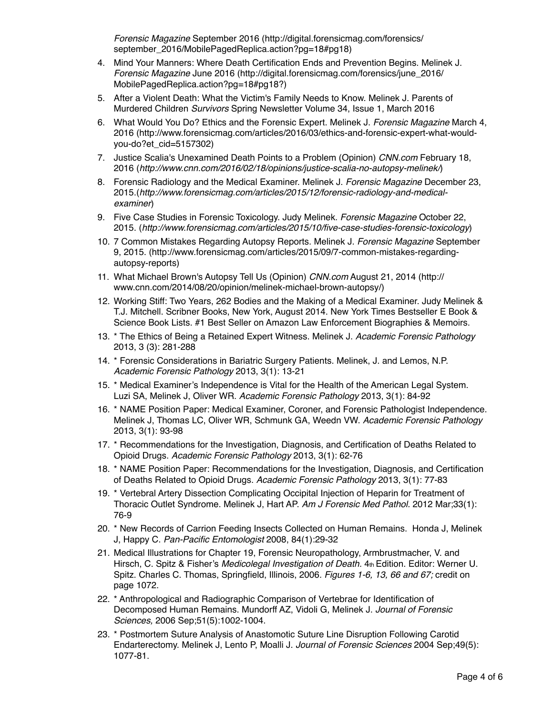*Forensic Magazine* September 2016 (http://digital.forensicmag.com/forensics/ september\_2016/MobilePagedReplica.action?pg=18#pg18)

- 4. Mind Your Manners: Where Death Certification Ends and Prevention Begins. Melinek J. *Forensic Magazine* June 2016 (http://digital.forensicmag.com/forensics/june\_2016/ MobilePagedReplica.action?pg=18#pg18?)
- 5. After a Violent Death: What the Victim's Family Needs to Know. Melinek J. Parents of Murdered Children *Survivors* Spring Newsletter Volume 34, Issue 1, March 2016
- 6. What Would You Do? Ethics and the Forensic Expert. Melinek J. *Forensic Magazine* March 4, 2016 (http://www.forensicmag.com/articles/2016/03/ethics-and-forensic-expert-what-wouldyou-do?et\_cid=5157302)
- 7. Justice Scalia's Unexamined Death Points to a Problem (Opinion) *CNN.com* February 18, 2016 (*http://www.cnn.com/2016/02/18/opinions/justice-scalia-no-autopsy-melinek/*)
- 8. Forensic Radiology and the Medical Examiner. Melinek J. *Forensic Magazine* December 23, 2015.(*http://www.forensicmag.com/articles/2015/12/forensic-radiology-and-medicalexaminer*)
- 9. Five Case Studies in Forensic Toxicology. Judy Melinek. *Forensic Magazine* October 22, 2015. (*http://www.forensicmag.com/articles/2015/10/five-case-studies-forensic-toxicology*)
- 10. 7 Common Mistakes Regarding Autopsy Reports. Melinek J. *Forensic Magazine* September 9, 2015. (http://www.forensicmag.com/articles/2015/09/7-common-mistakes-regardingautopsy-reports)
- 11. What Michael Brown's Autopsy Tell Us (Opinion) *CNN.com* August 21, 2014 (http:// www.cnn.com/2014/08/20/opinion/melinek-michael-brown-autopsy/)
- 12. Working Stiff: Two Years, 262 Bodies and the Making of a Medical Examiner. Judy Melinek & T.J. Mitchell. Scribner Books, New York, August 2014. New York Times Bestseller E Book & Science Book Lists. #1 Best Seller on Amazon Law Enforcement Biographies & Memoirs.
- 13. \* The Ethics of Being a Retained Expert Witness. Melinek J. *Academic Forensic Pathology* 2013, 3 (3): 281-288
- 14. \* Forensic Considerations in Bariatric Surgery Patients. Melinek, J. and Lemos, N.P. *Academic Forensic Pathology* 2013, 3(1): 13-21
- 15. \* Medical Examiner's Independence is Vital for the Health of the American Legal System. Luzi SA, Melinek J, Oliver WR. *Academic Forensic Pathology* 2013, 3(1): 84-92
- 16. \* NAME Position Paper: Medical Examiner, Coroner, and Forensic Pathologist Independence. Melinek J, Thomas LC, Oliver WR, Schmunk GA, Weedn VW. *Academic Forensic Pathology* 2013, 3(1): 93-98
- 17. \* Recommendations for the Investigation, Diagnosis, and Certification of Deaths Related to Opioid Drugs. *Academic Forensic Pathology* 2013, 3(1): 62-76
- 18. \* NAME Position Paper: Recommendations for the Investigation, Diagnosis, and Certification of Deaths Related to Opioid Drugs. *Academic Forensic Pathology* 2013, 3(1): 77-83
- 19. \* Vertebral Artery Dissection Complicating Occipital Injection of Heparin for Treatment of Thoracic Outlet Syndrome. Melinek J, Hart AP. *Am J Forensic Med Pathol.* 2012 Mar;33(1): 76-9
- 20. \* New Records of Carrion Feeding Insects Collected on Human Remains. Honda J, Melinek J, Happy C. *Pan-Pacific Entomologist* 2008, 84(1):29-32
- 21. Medical Illustrations for Chapter 19, Forensic Neuropathology, Armbrustmacher, V. and Hirsch, C. Spitz & Fisher's *Medicolegal Investigation of Death.* 4th Edition. Editor: Werner U. Spitz. Charles C. Thomas, Springfield, Illinois, 2006*. Figures 1-6, 13, 66 and 67;* credit on page 1072.
- 22. \* Anthropological and Radiographic Comparison of Vertebrae for Identification of Decomposed Human Remains. Mundorff AZ, Vidoli G, Melinek J. *Journal of Forensic Sciences,* 2006 Sep;51(5):1002-1004.
- 23. \* Postmortem Suture Analysis of Anastomotic Suture Line Disruption Following Carotid Endarterectomy. Melinek J, Lento P, Moalli J. *Journal of Forensic Sciences* 2004 Sep;49(5): 1077-81.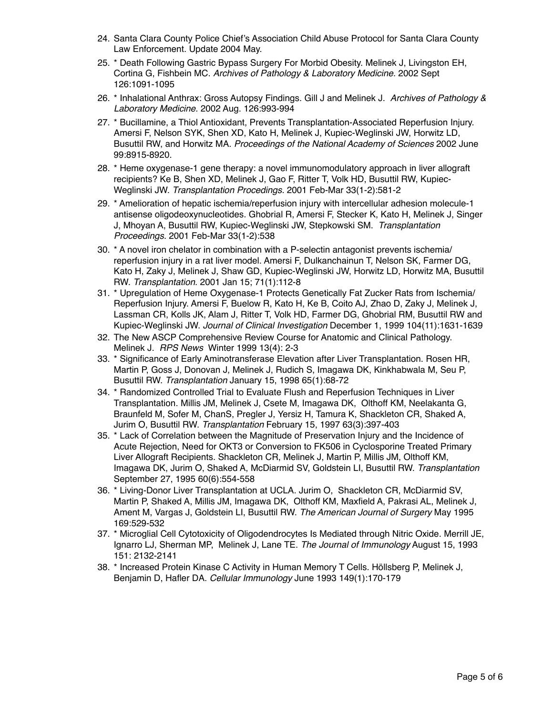- 24. Santa Clara County Police Chief's Association Child Abuse Protocol for Santa Clara County Law Enforcement. Update 2004 May.
- 25. \* Death Following Gastric Bypass Surgery For Morbid Obesity. Melinek J, Livingston EH, Cortina G, Fishbein MC. *Archives of Pathology & Laboratory Medicine.* 2002 Sept 126:1091-1095
- 26. \* Inhalational Anthrax: Gross Autopsy Findings. Gill J and Melinek J. *Archives of Pathology & Laboratory Medicine.* 2002 Aug. 126:993-994
- 27. \* Bucillamine, a Thiol Antioxidant, Prevents Transplantation-Associated Reperfusion Injury. Amersi F, Nelson SYK, Shen XD, Kato H, Melinek J, Kupiec-Weglinski JW, Horwitz LD, Busuttil RW, and Horwitz MA. *Proceedings of the National Academy of Sciences* 2002 June 99:8915-8920.
- 28. \* Heme oxygenase-1 gene therapy: a novel immunomodulatory approach in liver allograft recipients? Ke B, Shen XD, Melinek J, Gao F, Ritter T, Volk HD, Busuttil RW, Kupiec-Weglinski JW. *Transplantation Procedings.* 2001 Feb-Mar 33(1-2):581-2
- 29. \* Amelioration of hepatic ischemia/reperfusion injury with intercellular adhesion molecule-1 antisense oligodeoxynucleotides. Ghobrial R, Amersi F, Stecker K, Kato H, Melinek J, Singer J, Mhoyan A, Busuttil RW, Kupiec-Weglinski JW, Stepkowski SM. *Transplantation Proceedings.* 2001 Feb-Mar 33(1-2):538
- 30. \* A novel iron chelator in combination with a P-selectin antagonist prevents ischemia/ reperfusion injury in a rat liver model. Amersi F, Dulkanchainun T, Nelson SK, Farmer DG, Kato H, Zaky J, Melinek J, Shaw GD, Kupiec-Weglinski JW, Horwitz LD, Horwitz MA, Busuttil RW. *Transplantation*. 2001 Jan 15; 71(1):112-8
- 31. \* Upregulation of Heme Oxygenase-1 Protects Genetically Fat Zucker Rats from Ischemia/ Reperfusion Injury. Amersi F, Buelow R, Kato H, Ke B, Coito AJ, Zhao D, Zaky J, Melinek J, Lassman CR, Kolls JK, Alam J, Ritter T, Volk HD, Farmer DG, Ghobrial RM, Busuttil RW and Kupiec-Weglinski JW. *Journal of Clinical Investigation* December 1, 1999 104(11):1631-1639
- 32. The New ASCP Comprehensive Review Course for Anatomic and Clinical Pathology. Melinek J. *RPS News* Winter 1999 13(4): 2-3
- 33. \* Significance of Early Aminotransferase Elevation after Liver Transplantation. Rosen HR, Martin P, Goss J, Donovan J, Melinek J, Rudich S, Imagawa DK, Kinkhabwala M, Seu P, Busuttil RW. *Transplantation* January 15, 1998 65(1):68-72
- 34. \* Randomized Controlled Trial to Evaluate Flush and Reperfusion Techniques in Liver Transplantation. Millis JM, Melinek J, Csete M, Imagawa DK, Olthoff KM, Neelakanta G, Braunfeld M, Sofer M, ChanS, Pregler J, Yersiz H, Tamura K, Shackleton CR, Shaked A, Jurim O, Busuttil RW. *Transplantation* February 15, 1997 63(3):397-403
- 35. \* Lack of Correlation between the Magnitude of Preservation Injury and the Incidence of Acute Rejection, Need for OKT3 or Conversion to FK506 in Cyclosporine Treated Primary Liver Allograft Recipients. Shackleton CR, Melinek J, Martin P, Millis JM, Olthoff KM, Imagawa DK, Jurim O, Shaked A, McDiarmid SV, Goldstein LI, Busuttil RW. *Transplantation*  September 27, 1995 60(6):554-558
- 36. \* Living-Donor Liver Transplantation at UCLA. Jurim O, Shackleton CR, McDiarmid SV, Martin P, Shaked A, Millis JM, Imagawa DK, Olthoff KM, Maxfield A, Pakrasi AL, Melinek J, Ament M, Vargas J, Goldstein LI, Busuttil RW. *The American Journal of Surgery* May 1995 169:529-532
- 37. \* Microglial Cell Cytotoxicity of Oligodendrocytes Is Mediated through Nitric Oxide. Merrill JE, Ignarro LJ, Sherman MP, Melinek J, Lane TE. *The Journal of Immunology* August 15, 1993 151: 2132-2141
- 38. \* Increased Protein Kinase C Activity in Human Memory T Cells. Höllsberg P, Melinek J, Benjamin D, Hafler DA. *Cellular Immunology* June 1993 149(1):170-179